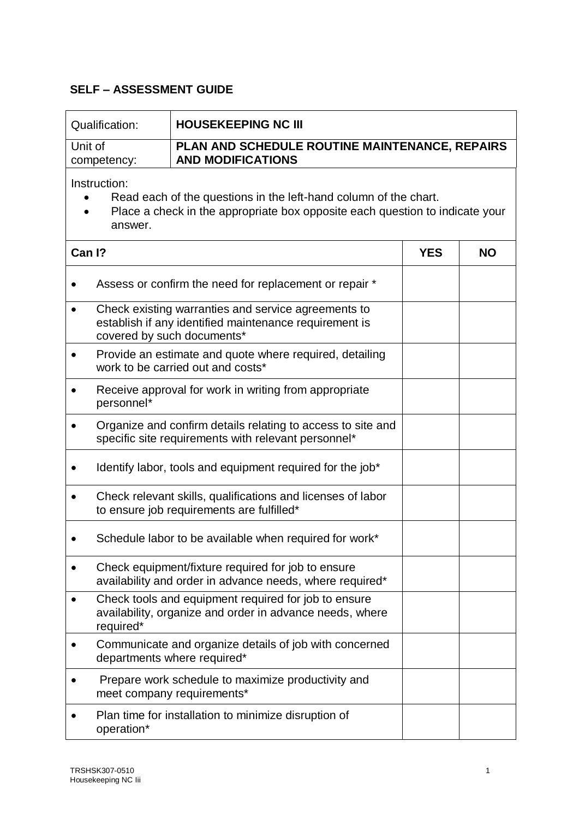## **SELF – ASSESSMENT GUIDE**

| Qualification: | <b>HOUSEKEEPING NC III</b>                     |
|----------------|------------------------------------------------|
| Unit of        | PLAN AND SCHEDULE ROUTINE MAINTENANCE, REPAIRS |
| competency:    | <b>AND MODIFICATIONS</b>                       |

Instruction:

- Read each of the questions in the left-hand column of the chart.
- Place a check in the appropriate box opposite each question to indicate your answer.

| Can I?    |                                                                                                                                             | <b>YES</b> | <b>NO</b> |
|-----------|---------------------------------------------------------------------------------------------------------------------------------------------|------------|-----------|
|           | Assess or confirm the need for replacement or repair *                                                                                      |            |           |
|           | Check existing warranties and service agreements to<br>establish if any identified maintenance requirement is<br>covered by such documents* |            |           |
|           | Provide an estimate and quote where required, detailing<br>work to be carried out and costs*                                                |            |           |
|           | Receive approval for work in writing from appropriate<br>personnel*                                                                         |            |           |
|           | Organize and confirm details relating to access to site and<br>specific site requirements with relevant personnel*                          |            |           |
|           | Identify labor, tools and equipment required for the job*                                                                                   |            |           |
|           | Check relevant skills, qualifications and licenses of labor<br>to ensure job requirements are fulfilled*                                    |            |           |
|           | Schedule labor to be available when required for work*                                                                                      |            |           |
|           | Check equipment/fixture required for job to ensure<br>availability and order in advance needs, where required*                              |            |           |
| $\bullet$ | Check tools and equipment required for job to ensure<br>availability, organize and order in advance needs, where<br>required*               |            |           |
|           | Communicate and organize details of job with concerned<br>departments where required*                                                       |            |           |
| $\bullet$ | Prepare work schedule to maximize productivity and<br>meet company requirements*                                                            |            |           |
|           | Plan time for installation to minimize disruption of<br>operation*                                                                          |            |           |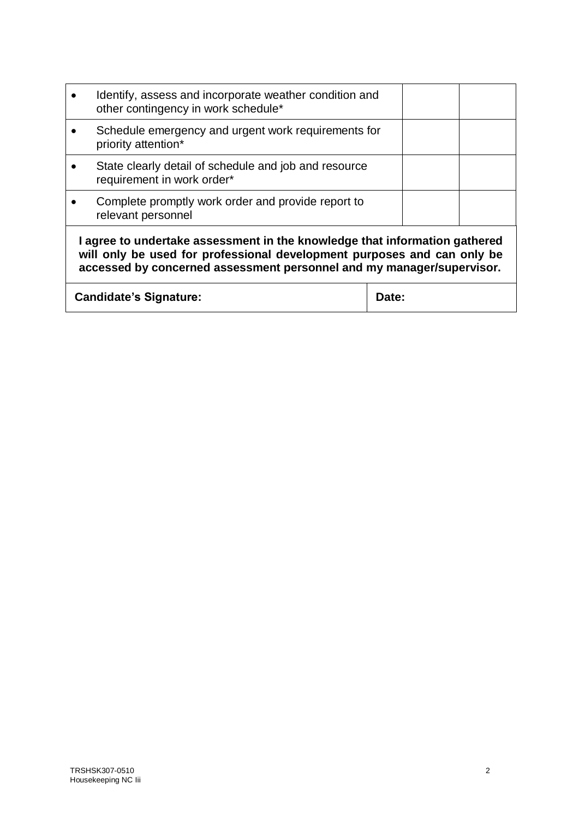|                                                                                                                                                                                                                                | Identify, assess and incorporate weather condition and<br>other contingency in work schedule* |       |  |  |
|--------------------------------------------------------------------------------------------------------------------------------------------------------------------------------------------------------------------------------|-----------------------------------------------------------------------------------------------|-------|--|--|
|                                                                                                                                                                                                                                | Schedule emergency and urgent work requirements for<br>priority attention*                    |       |  |  |
|                                                                                                                                                                                                                                | State clearly detail of schedule and job and resource<br>requirement in work order*           |       |  |  |
|                                                                                                                                                                                                                                | Complete promptly work order and provide report to<br>relevant personnel                      |       |  |  |
| I agree to undertake assessment in the knowledge that information gathered<br>will only be used for professional development purposes and can only be<br>accessed by concerned assessment personnel and my manager/supervisor. |                                                                                               |       |  |  |
| <b>Candidate's Signature:</b>                                                                                                                                                                                                  |                                                                                               | Date: |  |  |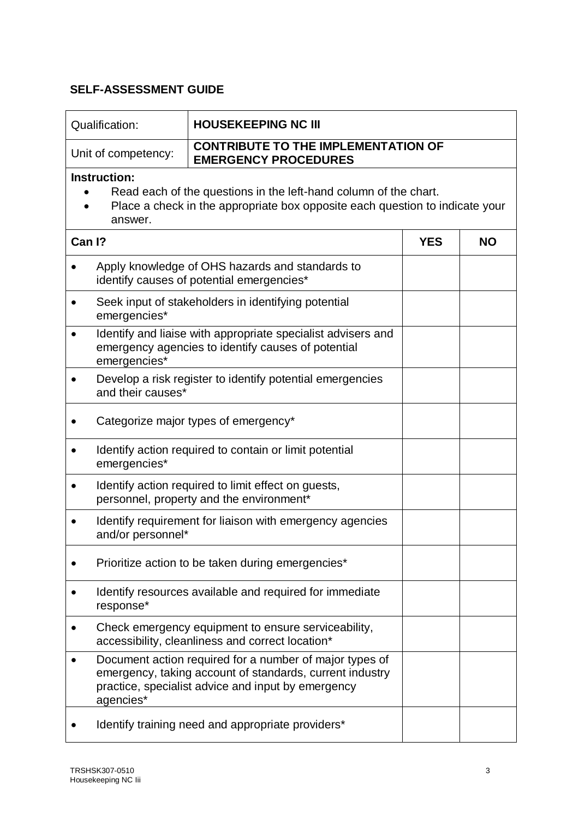## **SELF-ASSESSMENT GUIDE**

| Qualification:                                                                                                                                                              | <b>HOUSEKEEPING NC III</b>                                                                                                         |                                                                                                                                                                           |            |           |
|-----------------------------------------------------------------------------------------------------------------------------------------------------------------------------|------------------------------------------------------------------------------------------------------------------------------------|---------------------------------------------------------------------------------------------------------------------------------------------------------------------------|------------|-----------|
| <b>CONTRIBUTE TO THE IMPLEMENTATION OF</b><br>Unit of competency:<br><b>EMERGENCY PROCEDURES</b>                                                                            |                                                                                                                                    |                                                                                                                                                                           |            |           |
| Instruction:<br>Read each of the questions in the left-hand column of the chart.<br>Place a check in the appropriate box opposite each question to indicate your<br>answer. |                                                                                                                                    |                                                                                                                                                                           |            |           |
| Can I?                                                                                                                                                                      |                                                                                                                                    |                                                                                                                                                                           | <b>YES</b> | <b>NO</b> |
| Apply knowledge of OHS hazards and standards to<br>identify causes of potential emergencies*                                                                                |                                                                                                                                    |                                                                                                                                                                           |            |           |
| emergencies*                                                                                                                                                                |                                                                                                                                    | Seek input of stakeholders in identifying potential                                                                                                                       |            |           |
|                                                                                                                                                                             | Identify and liaise with appropriate specialist advisers and<br>emergency agencies to identify causes of potential<br>emergencies* |                                                                                                                                                                           |            |           |
|                                                                                                                                                                             | Develop a risk register to identify potential emergencies<br>and their causes*                                                     |                                                                                                                                                                           |            |           |
|                                                                                                                                                                             | Categorize major types of emergency*                                                                                               |                                                                                                                                                                           |            |           |
|                                                                                                                                                                             | Identify action required to contain or limit potential<br>emergencies*                                                             |                                                                                                                                                                           |            |           |
|                                                                                                                                                                             | Identify action required to limit effect on guests,<br>personnel, property and the environment*                                    |                                                                                                                                                                           |            |           |
|                                                                                                                                                                             | Identify requirement for liaison with emergency agencies<br>and/or personnel*                                                      |                                                                                                                                                                           |            |           |
|                                                                                                                                                                             | Prioritize action to be taken during emergencies*                                                                                  |                                                                                                                                                                           |            |           |
|                                                                                                                                                                             | Identify resources available and required for immediate<br>response*                                                               |                                                                                                                                                                           |            |           |
|                                                                                                                                                                             | Check emergency equipment to ensure serviceability,<br>accessibility, cleanliness and correct location*                            |                                                                                                                                                                           |            |           |
| agencies*                                                                                                                                                                   |                                                                                                                                    | Document action required for a number of major types of<br>emergency, taking account of standards, current industry<br>practice, specialist advice and input by emergency |            |           |
| Identify training need and appropriate providers*                                                                                                                           |                                                                                                                                    |                                                                                                                                                                           |            |           |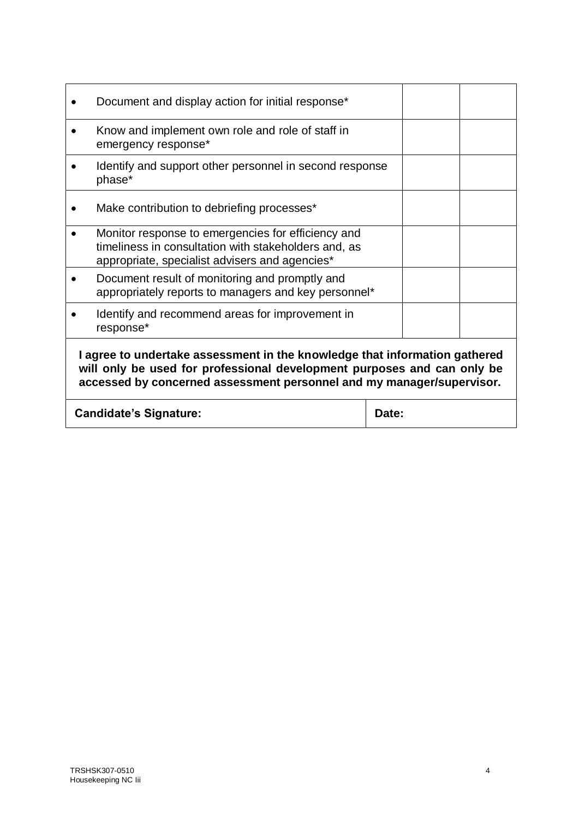|                                                                                                                                                                                                                                | Document and display action for initial response*                                                                                                            |  |  |  |
|--------------------------------------------------------------------------------------------------------------------------------------------------------------------------------------------------------------------------------|--------------------------------------------------------------------------------------------------------------------------------------------------------------|--|--|--|
|                                                                                                                                                                                                                                | Know and implement own role and role of staff in<br>emergency response*                                                                                      |  |  |  |
|                                                                                                                                                                                                                                | Identify and support other personnel in second response<br>phase*                                                                                            |  |  |  |
|                                                                                                                                                                                                                                | Make contribution to debriefing processes*                                                                                                                   |  |  |  |
|                                                                                                                                                                                                                                | Monitor response to emergencies for efficiency and<br>timeliness in consultation with stakeholders and, as<br>appropriate, specialist advisers and agencies* |  |  |  |
|                                                                                                                                                                                                                                | Document result of monitoring and promptly and<br>appropriately reports to managers and key personnel*                                                       |  |  |  |
|                                                                                                                                                                                                                                | Identify and recommend areas for improvement in<br>response*                                                                                                 |  |  |  |
| I agree to undertake assessment in the knowledge that information gathered<br>will only be used for professional development purposes and can only be<br>accessed by concerned assessment personnel and my manager/supervisor. |                                                                                                                                                              |  |  |  |
| <b>Candidate's Signature:</b><br>Date:                                                                                                                                                                                         |                                                                                                                                                              |  |  |  |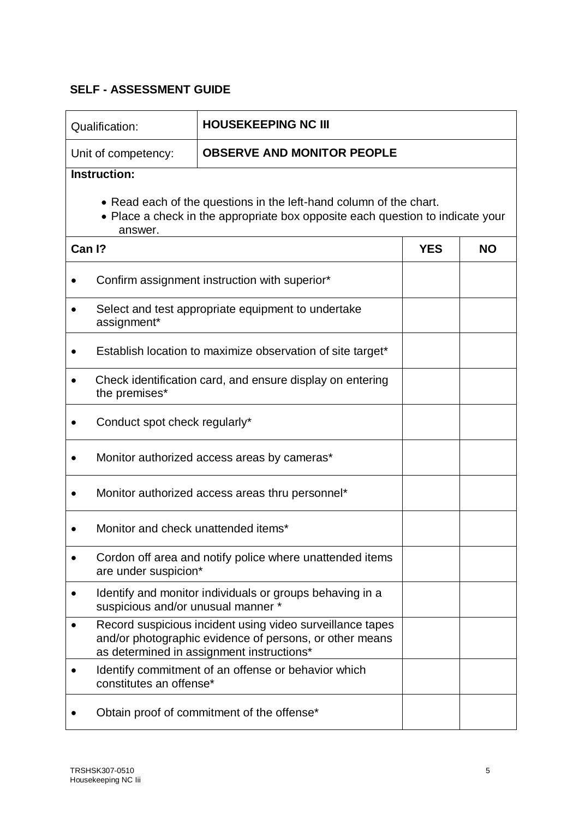## **SELF - ASSESSMENT GUIDE**

| <b>HOUSEKEEPING NC III</b><br>Qualification:                                                                                                                    |                                                                                                                                                                   |            |           |  |  |  |
|-----------------------------------------------------------------------------------------------------------------------------------------------------------------|-------------------------------------------------------------------------------------------------------------------------------------------------------------------|------------|-----------|--|--|--|
| Unit of competency:                                                                                                                                             | <b>OBSERVE AND MONITOR PEOPLE</b>                                                                                                                                 |            |           |  |  |  |
| <b>Instruction:</b>                                                                                                                                             |                                                                                                                                                                   |            |           |  |  |  |
| • Read each of the questions in the left-hand column of the chart.<br>• Place a check in the appropriate box opposite each question to indicate your<br>answer. |                                                                                                                                                                   |            |           |  |  |  |
| Can I?                                                                                                                                                          |                                                                                                                                                                   | <b>YES</b> | <b>NO</b> |  |  |  |
|                                                                                                                                                                 | Confirm assignment instruction with superior*                                                                                                                     |            |           |  |  |  |
| assignment*                                                                                                                                                     | Select and test appropriate equipment to undertake                                                                                                                |            |           |  |  |  |
|                                                                                                                                                                 | Establish location to maximize observation of site target*                                                                                                        |            |           |  |  |  |
| the premises*                                                                                                                                                   | Check identification card, and ensure display on entering                                                                                                         |            |           |  |  |  |
|                                                                                                                                                                 | Conduct spot check regularly*                                                                                                                                     |            |           |  |  |  |
|                                                                                                                                                                 | Monitor authorized access areas by cameras*                                                                                                                       |            |           |  |  |  |
|                                                                                                                                                                 | Monitor authorized access areas thru personnel*                                                                                                                   |            |           |  |  |  |
|                                                                                                                                                                 | Monitor and check unattended items*                                                                                                                               |            |           |  |  |  |
| are under suspicion*                                                                                                                                            | Cordon off area and notify police where unattended items                                                                                                          |            |           |  |  |  |
| suspicious and/or unusual manner *                                                                                                                              | Identify and monitor individuals or groups behaving in a                                                                                                          |            |           |  |  |  |
|                                                                                                                                                                 | Record suspicious incident using video surveillance tapes<br>and/or photographic evidence of persons, or other means<br>as determined in assignment instructions* |            |           |  |  |  |
| constitutes an offense*                                                                                                                                         | Identify commitment of an offense or behavior which                                                                                                               |            |           |  |  |  |
| Obtain proof of commitment of the offense*                                                                                                                      |                                                                                                                                                                   |            |           |  |  |  |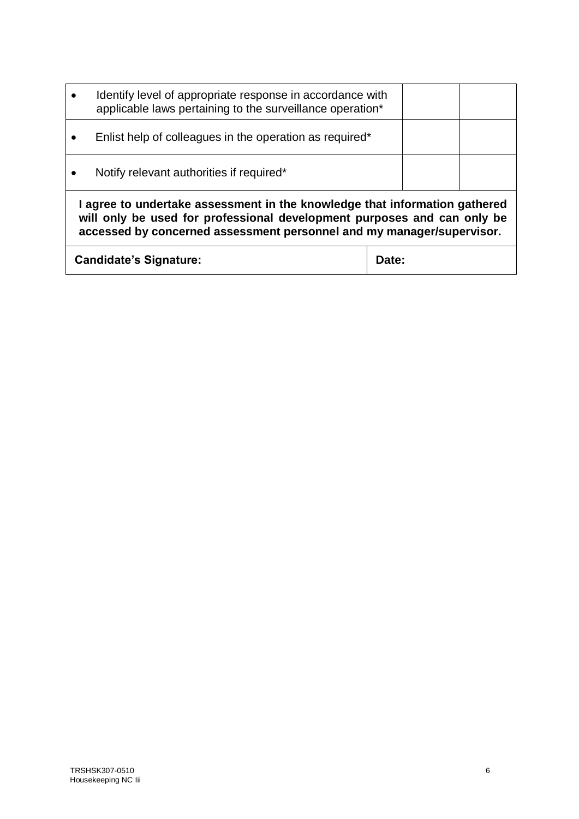|                                                                                                                                                                                                                                | Identify level of appropriate response in accordance with<br>applicable laws pertaining to the surveillance operation* |  |  |  |
|--------------------------------------------------------------------------------------------------------------------------------------------------------------------------------------------------------------------------------|------------------------------------------------------------------------------------------------------------------------|--|--|--|
|                                                                                                                                                                                                                                | Enlist help of colleagues in the operation as required*                                                                |  |  |  |
|                                                                                                                                                                                                                                | Notify relevant authorities if required*                                                                               |  |  |  |
| I agree to undertake assessment in the knowledge that information gathered<br>will only be used for professional development purposes and can only be<br>accessed by concerned assessment personnel and my manager/supervisor. |                                                                                                                        |  |  |  |
| <b>Candidate's Signature:</b><br><b>Date:</b>                                                                                                                                                                                  |                                                                                                                        |  |  |  |